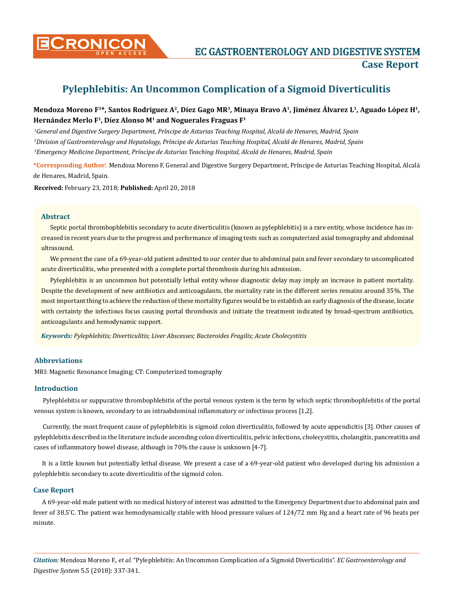

**CRONICON EC GASTROENTEROLOGY AND DIGESTIVE SYSTEM Case Report**

# **Pylephlebitis: An Uncommon Complication of a Sigmoid Diverticulitis**

## Mendoza Moreno F<sup>1\*</sup>, Santos Rodriguez A<sup>2</sup>, Díez Gago MR<sup>3</sup>, Minaya Bravo A<sup>1</sup>, Jiménez Álvarez L<sup>1</sup>, Aguado López H<sup>1</sup>, **Hernández Merlo F1, Díez Alonso M1 and Noguerales Fraguas F1**

*1 General and Digestive Surgery Department, Príncipe de Asturias Teaching Hospital, Alcalá de Henares, Madrid, Spain 2 Division of Gastroenterology and Hepatology, Príncipe de Asturias Teaching Hospital, Alcalá de Henares, Madrid, Spain 3 Emergency Medicine Department, Príncipe de Asturias Teaching Hospital, Alcalá de Henares, Madrid, Spain*

**\*Corresponding Author**: Mendoza Moreno F, General and Digestive Surgery Department, Príncipe de Asturias Teaching Hospital, Alcalá de Henares, Madrid, Spain.

**Received:** February 23, 2018; **Published:** April 20, 2018

#### **Abstract**

Septic portal thrombophlebitis secondary to acute diverticulitis (known as pylephlebitis) is a rare entity, whose incidence has increased in recent years due to the progress and performance of imaging tests such as computerized axial tomography and abdominal ultrasound.

We present the case of a 69-year-old patient admitted to our center due to abdominal pain and fever secondary to uncomplicated acute diverticulitis, who presented with a complete portal thrombosis during his admission.

Pylephlebitis is an uncommon but potentially lethal entity whose diagnostic delay may imply an increase in patient mortality. Despite the development of new antibiotics and anticoagulants, the mortality rate in the different series remains around 35%. The most important thing to achieve the reduction of these mortality figures would be to establish an early diagnosis of the disease, locate with certainty the infectious focus causing portal thrombosis and initiate the treatment indicated by broad-spectrum antibiotics, anticoagulants and hemodynamic support.

*Keywords: Pylephlebitis; Diverticulitis; Liver Abscesses; Bacteroides Fragilis; Acute Cholecystitis*

### **Abbreviations**

MRI: Magnetic Resonance Imaging; CT: Computerized tomography

#### **Introduction**

Pylephlebitis or suppurative thrombophlebitis of the portal venous system is the term by which septic thrombophlebitis of the portal venous system is known, secondary to an intraabdominal inflammatory or infectious process [1,2].

Currently, the most frequent cause of pylephlebitis is sigmoid colon diverticulitis, followed by acute appendicitis [3]. Other causes of pylephlebitis described in the literature include ascending colon diverticulitis, pelvic infections, cholecystitis, cholangitis, pancreatitis and cases of inflammatory bowel disease, although in 70% the cause is unknown [4-7].

It is a little known but potentially lethal disease. We present a case of a 69-year-old patient who developed during his admission a pylephlebitis secondary to acute diverticulitis of the sigmoid colon.

#### **Case Report**

A 69-year-old male patient with no medical history of interest was admitted to the Emergency Department due to abdominal pain and fever of 38.5º C. The patient was hemodynamically stable with blood pressure values of 124/72 mm Hg and a heart rate of 96 beats per minute.

*Citation:* Mendoza Moreno F., *et al*. "Pylephlebitis: An Uncommon Complication of a Sigmoid Diverticulitis". *EC Gastroenterology and Digestive System* 5.5 (2018): 337-341.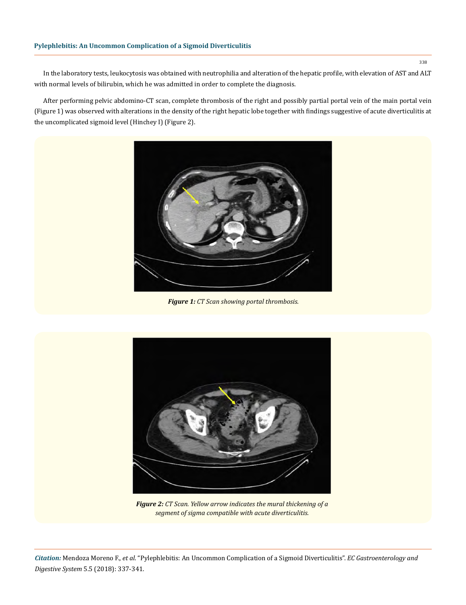#### **Pylephlebitis: An Uncommon Complication of a Sigmoid Diverticulitis**

In the laboratory tests, leukocytosis was obtained with neutrophilia and alteration of the hepatic profile, with elevation of AST and ALT with normal levels of bilirubin, which he was admitted in order to complete the diagnosis.

After performing pelvic abdomino-CT scan, complete thrombosis of the right and possibly partial portal vein of the main portal vein (Figure 1) was observed with alterations in the density of the right hepatic lobe together with findings suggestive of acute diverticulitis at the uncomplicated sigmoid level (Hinchey I) (Figure 2).



*Figure 1: CT Scan showing portal thrombosis.*



*Figure 2: CT Scan. Yellow arrow indicates the mural thickening of a segment of sigma compatible with acute diverticulitis.*

338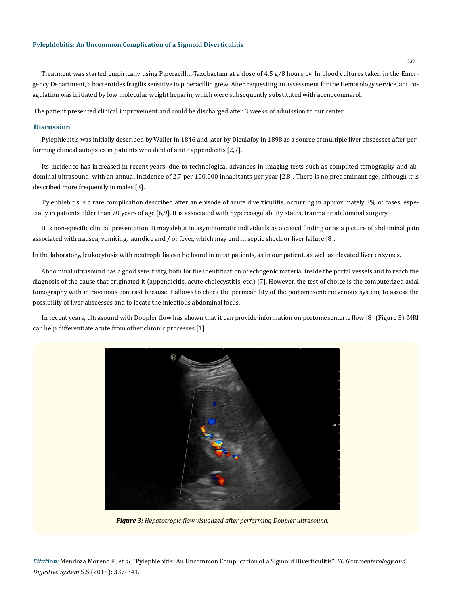Treatment was started empirically using Piperacillin-Tazobactam at a dose of 4.5 g/8 hours i.v. In blood cultures taken in the Emergency Department, a bacteroides fragilis sensitive to piperacillin grew. After requesting an assessment for the Hematology service, anticoagulation was initiated by low molecular weight heparin, which were subsequently substituted with acenocoumarol.

The patient presented clinical improvement and could be discharged after 3 weeks of admission to our center.

#### **Discussion**

Pylephlebitis was initially described by Waller in 1846 and later by Dieulafoy in 1898 as a source of multiple liver abscesses after performing clinical autopsies in patients who died of acute appendicitis [2,7].

Its incidence has increased in recent years, due to technological advances in imaging tests such as computed tomography and abdominal ultrasound, with an annual incidence of 2.7 per 100,000 inhabitants per year [2,8]. There is no predominant age, although it is described more frequently in males [3].

Pylephlebitis is a rare complication described after an episode of acute diverticulitis, occurring in approximately 3% of cases, especially in patients older than 70 years of age [6,9]. It is associated with hypercoagulability states, trauma or abdominal surgery.

It is non-specific clinical presentation. It may debut in asymptomatic individuals as a casual finding or as a picture of abdominal pain associated with nausea, vomiting, jaundice and / or fever, which may end in septic shock or liver failure [8].

In the laboratory, leukocytosis with neutrophilia can be found in most patients, as in our patient, as well as elevated liver enzymes.

Abdominal ultrasound has a good sensitivity, both for the identification of echogenic material inside the portal vessels and to reach the diagnosis of the cause that originated it (appendicitis, acute cholecystitis, etc.) [7]. However, the test of choice is the computerized axial tomography with intravenous contrast because it allows to check the permeability of the portomesenteric venous system, to assess the possibility of liver abscesses and to locate the infectious abdominal focus.

In recent years, ultrasound with Doppler flow has shown that it can provide information on portomesenteric flow [8] (Figure 3). MRI can help differentiate acute from other chronic processes [1].



*Figure 3: Hepatotropic flow visualized after performing Doppler ultrasound.*

*Citation:* Mendoza Moreno F., *et al*. "Pylephlebitis: An Uncommon Complication of a Sigmoid Diverticulitis". *EC Gastroenterology and Digestive System* 5.5 (2018): 337-341.

339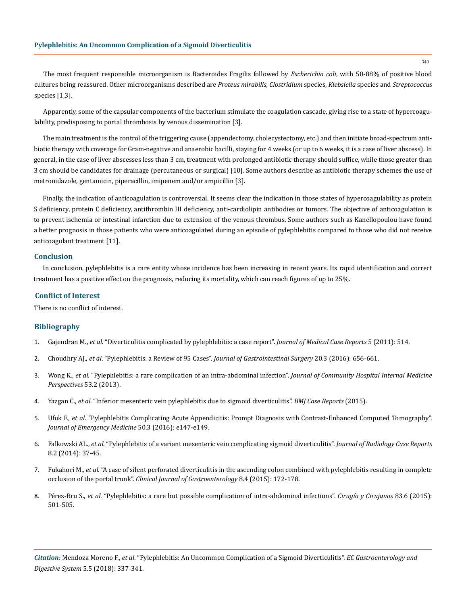The most frequent responsible microorganism is Bacteroides Fragilis followed by *Escherichia coli*, with 50-88% of positive blood cultures being reassured. Other microorganisms described are *Proteus mirabilis, Clostridium* species, *Klebsiella* species and *Streptococcus*  species [1,3].

Apparently, some of the capsular components of the bacterium stimulate the coagulation cascade, giving rise to a state of hypercoagulability, predisposing to portal thrombosis by venous dissemination [3].

The main treatment is the control of the triggering cause (appendectomy, cholecystectomy, etc.) and then initiate broad-spectrum antibiotic therapy with coverage for Gram-negative and anaerobic bacilli, staying for 4 weeks (or up to 6 weeks, it is a case of liver abscess). In general, in the case of liver abscesses less than 3 cm, treatment with prolonged antibiotic therapy should suffice, while those greater than 3 cm should be candidates for drainage (percutaneous or surgical) [10]. Some authors describe as antibiotic therapy schemes the use of metronidazole, gentamicin, piperacillin, imipenem and/or ampicillin [3].

Finally, the indication of anticoagulation is controversial. It seems clear the indication in those states of hypercoagulability as protein S deficiency, protein C deficiency, antithrombin III deficiency, anti-cardiolipin antibodies or tumors. The objective of anticoagulation is to prevent ischemia or intestinal infarction due to extension of the venous thrombus. Some authors such as Kanellopoulou have found a better prognosis in those patients who were anticoagulated during an episode of pylephlebitis compared to those who did not receive anticoagulant treatment [11].

#### **Conclusion**

In conclusion, pylephlebitis is a rare entity whose incidence has been increasing in recent years. Its rapid identification and correct treatment has a positive effect on the prognosis, reducing its mortality, which can reach figures of up to 25%.

#### **Conflict of Interest**

There is no conflict of interest.

#### **Bibliography**

- 1. Gajendran M., *et al*[. "Diverticulitis complicated by pylephlebitis: a case report".](https://www.ncbi.nlm.nih.gov/pubmed/21985694) *Journal of Medical Case Reports* 5 (2011): 514.
- 2. Choudhry AJ., *et al*. "Pylephlebitis: a Review of 95 Cases". *[Journal of Gastrointestinal Surgery](https://www.ncbi.nlm.nih.gov/pubmed/26160320)* 20.3 (2016): 656-661.
- 3. Wong K., *et al*[. "Pylephlebitis: a rare complication of an intra-abdominal infection".](https://www.ncbi.nlm.nih.gov/pubmed/23882407) *Journal of Community Hospital Internal Medicine [Perspectives](https://www.ncbi.nlm.nih.gov/pubmed/23882407)* 53.2 (2013).
- 4. Yazgan C., *et al*[. "Inferior mesenteric vein pylephlebitis due to sigmoid diverticulitis".](https://www.ncbi.nlm.nih.gov/pubmed/26604234) *BMJ Case Reports* (2015).
- 5. Ufuk F., *et al*[. "Pylephlebitis Complicating Acute Appendicitis: Prompt Diagnosis with Contrast-Enhanced Computed Tomography".](https://www.ncbi.nlm.nih.gov/pubmed/26810023) *[Journal of Emergency Medicine](https://www.ncbi.nlm.nih.gov/pubmed/26810023)* 50.3 (2016): e147-e149.
- 6. Falkowski AL., *et al*[. "Pylephlebitis of a variant mesenteric vein complicating sigmoid diverticulitis".](https://www.ncbi.nlm.nih.gov/pubmed/24967018) *Journal of Radiology Case Reports* [8.2 \(2014\): 37-45.](https://www.ncbi.nlm.nih.gov/pubmed/24967018)
- 7. Fukahori M., *et al*[. "A case of silent perforated diverticulitis in the ascending colon combined with pylephlebitis resulting in complete](https://www.ncbi.nlm.nih.gov/pubmed/26160462)  occlusion of the portal trunk". *[Clinical Journal of Gastroenterology](https://www.ncbi.nlm.nih.gov/pubmed/26160462)* 8.4 (2015): 172-178.
- 8. Pérez-Bru S., *et al*[. "Pylephlebitis: a rare but possible complication of intra-abdominal infections".](https://www.ncbi.nlm.nih.gov/pubmed/26141109) *Cirugía y Cirujanos* 83.6 (2015): [501-505.](https://www.ncbi.nlm.nih.gov/pubmed/26141109)

*Citation:* Mendoza Moreno F., *et al*. "Pylephlebitis: An Uncommon Complication of a Sigmoid Diverticulitis". *EC Gastroenterology and Digestive System* 5.5 (2018): 337-341.

340